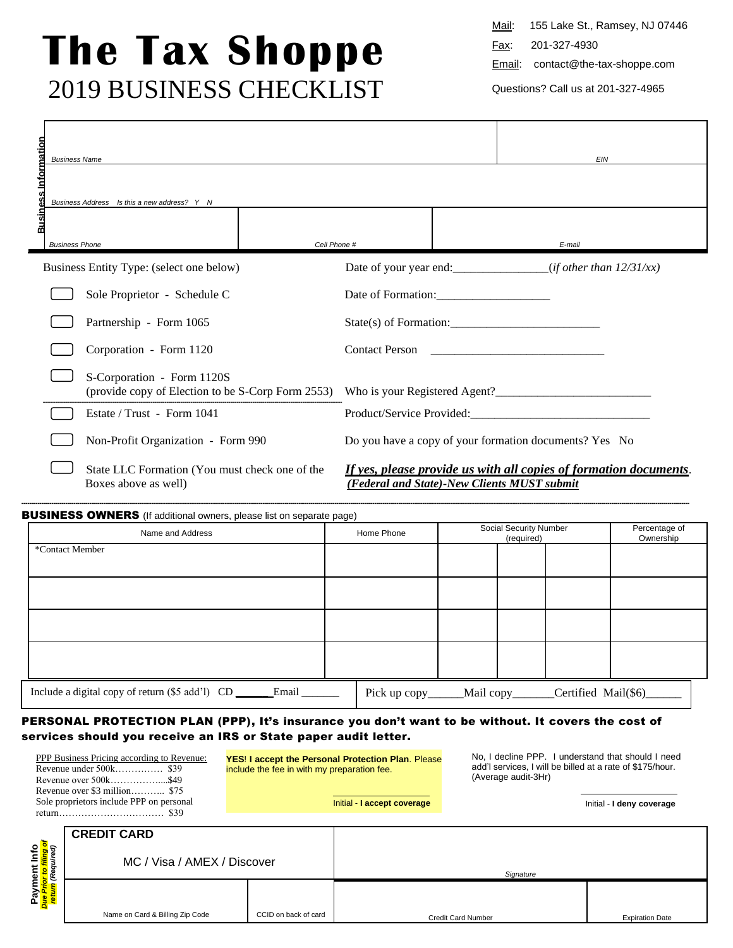# **The Tax Shoppe** 2019 BUSINESS CHECKLIST

Mail: 155 Lake St., Ramsey, NJ 07446

Fax: 201-327-4930

Email: contact@the-tax-shoppe.com

Questions? Call us at 201-327-4965

| <b>Business Information</b> | <b>Business Name</b>                                                            | <b>EIN</b>                                             |                                                                   |
|-----------------------------|---------------------------------------------------------------------------------|--------------------------------------------------------|-------------------------------------------------------------------|
|                             | Business Address Is this a new address? Y N                                     |                                                        |                                                                   |
|                             | Cell Phone #<br><b>Business Phone</b>                                           |                                                        | E-mail                                                            |
|                             | Business Entity Type: (select one below)                                        |                                                        |                                                                   |
|                             | Sole Proprietor - Schedule C                                                    | Date of Formation:                                     |                                                                   |
|                             | Partnership - Form 1065                                                         | $State(s)$ of Formation:                               |                                                                   |
|                             | Corporation - Form 1120                                                         | <b>Contact Person</b>                                  | <u> 1980 - John Stone, Amerikaansk politiker (</u>                |
|                             | S-Corporation - Form 1120S<br>(provide copy of Election to be S-Corp Form 2553) |                                                        |                                                                   |
|                             | Estate / Trust - Form 1041                                                      |                                                        |                                                                   |
|                             | Non-Profit Organization - Form 990                                              | Do you have a copy of your formation documents? Yes No |                                                                   |
|                             | State LLC Formation (You must check one of the<br>Boxes above as well)          | (Federal and State)-New Clients MUST submit            | If yes, please provide us with all copies of formation documents. |

#### BUSINESS OWNERS (If additional owners, please list on separate page)

| Name and Address                                            | Home Phone    |            | Social Security Number<br>(required) |                     | Percentage of<br>Ownership |
|-------------------------------------------------------------|---------------|------------|--------------------------------------|---------------------|----------------------------|
| *Contact Member                                             |               |            |                                      |                     |                            |
|                                                             |               |            |                                      |                     |                            |
|                                                             |               |            |                                      |                     |                            |
|                                                             |               |            |                                      |                     |                            |
| Include a digital copy of return (\$5 add'l) CD __<br>Email | Pick up copy_ | Mail copy_ |                                      | Certified Mail(\$6) |                            |

-----------------------------------------------------------------------------------------------------------------------------------------------------------------------------------------------------------------------------------------------------------------------------------------------------------------------------------------------

## PERSONAL PROTECTION PLAN (PPP), It's insurance you don't want to be without. It covers the cost of services should you receive an IRS or State paper audit letter.

| <b>PPP Business Pricing according to Revenue:</b> | <b>YES! I accept the Personal Protection Plan. Please</b><br>include the fee in with my preparation fee. | No. I decline PPP. I understand that should I need<br>add'I services, I will be billed at a rate of \$175/hour.<br>(Average audit-3Hr) |
|---------------------------------------------------|----------------------------------------------------------------------------------------------------------|----------------------------------------------------------------------------------------------------------------------------------------|
|                                                   |                                                                                                          |                                                                                                                                        |
| Sole proprietors include PPP on personal          | Initial - I accept coverage                                                                              | Initial - I deny coverage                                                                                                              |
|                                                   |                                                                                                          |                                                                                                                                        |

|                                                                 | <b>CREDIT CARD</b>              |                      |                           |                        |  |
|-----------------------------------------------------------------|---------------------------------|----------------------|---------------------------|------------------------|--|
| Info<br><mark>iling of</mark><br><sub>ilred)</sub><br><b>Re</b> | MC / Visa / AMEX / Discover     |                      | Signature                 |                        |  |
| Payment<br><mark>יייף Prior to f</mark>                         | Name on Card & Billing Zip Code | CCID on back of card | <b>Credit Card Number</b> | <b>Expiration Date</b> |  |